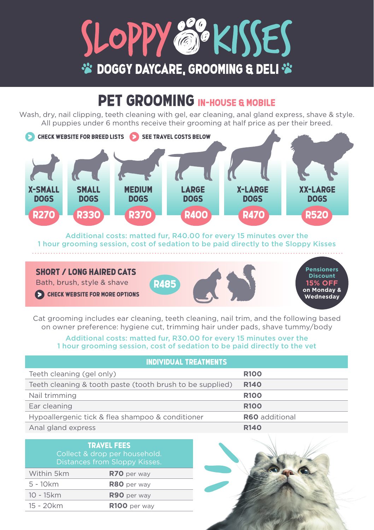

## PET GROOMING IN-HOUSE & MOBILE

Wash, dry, nail clipping, teeth cleaning with gel, ear cleaning, anal gland express, shave & style. All puppies under 6 months receive their grooming at half price as per their breed.



Additional costs: matted fur, R40.00 for every 15 minutes over the 1 hour grooming session, cost of sedation to be paid directly to the Sloppy Kisses

### SHOPT / LONG HAIPED CATS

Bath, brush, style & shave R485

**CHECK WEBSITE FOR MORE OPTIONS** 



**Pensioners Discount 15% OFF on Monday & Wednesday**

Cat grooming includes ear cleaning, teeth cleaning, nail trim, and the following based on owner preference: hygiene cut, trimming hair under pads, shave tummy/body

### Additional costs: matted fur, R30.00 for every 15 minutes over the 1 hour grooming session, cost of sedation to be paid directly to the vet

| <b>INDIVIDUAL TREATMENTS</b>                              |                       |  |  |
|-----------------------------------------------------------|-----------------------|--|--|
| Teeth cleaning (gel only)                                 | <b>R100</b>           |  |  |
| Teeth cleaning & tooth paste (tooth brush to be supplied) | R <sub>140</sub>      |  |  |
| Nail trimming                                             | <b>R100</b>           |  |  |
| Ear cleaning                                              | <b>R100</b>           |  |  |
| Hypoallergenic tick & flea shampoo & conditioner          | <b>R60</b> additional |  |  |
| Anal gland express                                        | R <sub>140</sub>      |  |  |

| <b>TRAVEL FEES</b><br>Collect & drop per household.<br>Distances from Sloppy Kisses. |  |  |  |
|--------------------------------------------------------------------------------------|--|--|--|
| R70 per way                                                                          |  |  |  |
| R80 per way                                                                          |  |  |  |
| R90 per way                                                                          |  |  |  |
| $R100$ per way                                                                       |  |  |  |
|                                                                                      |  |  |  |